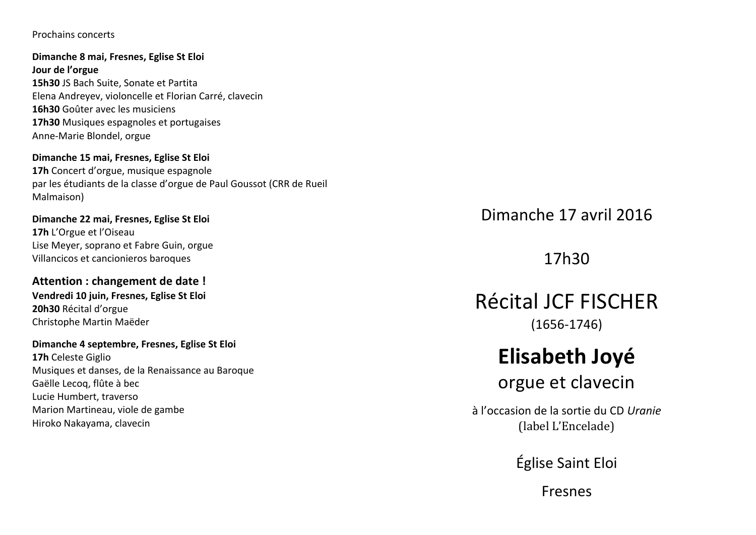Prochains concerts

Dimanche 8 mai, Fresnes, Eglise St Eloi Jour de l'orgue 15h30 JS Bach Suite, Sonate et Partita Elena Andreyev, violoncelle et Florian Carré, clavecin 16h30 Goûter avec les musiciens 17h30 Musiques espagnoles et portugaises Anne-Marie Blondel, orgue

#### Dimanche 15 mai. Fresnes. Eglise St Eloi

17h Concert d'orgue, musique espagnole par les étudiants de la classe d'orgue de Paul Goussot (CRR de Rueil Malmaison)

Dimanche 22 mai, Fresnes, Eglise St Eloi 17h L'Orgue et l'Oiseau Lise Meyer, soprano et Fabre Guin, orgue Villancicos et cancionieros baroques

Attention : changement de date ! Vendredi 10 iuin. Fresnes. Eglise St Eloi 20h30 Récital d'orgue Christophe Martin Maëder

Dimanche 4 septembre, Fresnes, Eglise St Eloi 17h Celeste Giglio Musiques et danses, de la Renaissance au Baroque Gaëlle Lecog, flûte à bec Lucie Humbert, traverso Marion Martineau, viole de gambe Hiroko Nakayama, clavecin

Dimanche 17 avril 2016

17h30

**Récital JCF FISCHER**  $(1656-1746)$ 

# Elisabeth Joyé

orgue et clavecin

à l'occasion de la sortie du CD Urgnie (label L'Encelade)

Église Saint Eloi

**Fresnes**